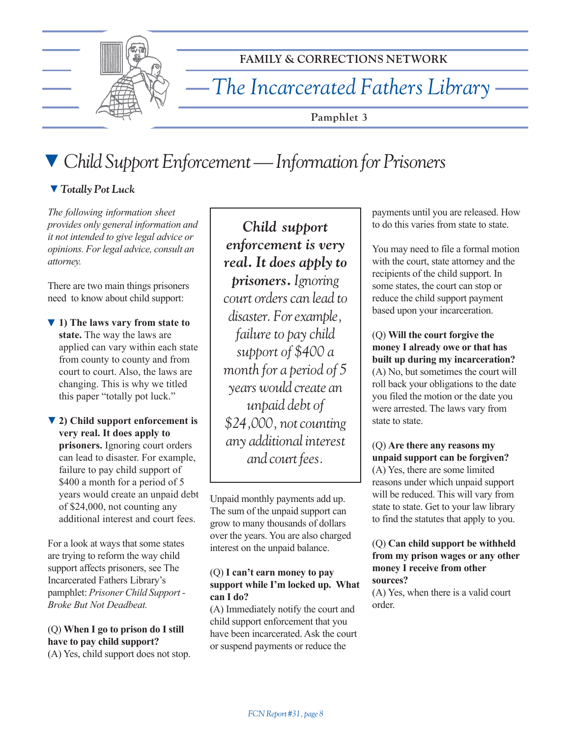

**FAMILY & CORRECTIONS NETWORK**

*The Incarcerated Fathers Library*

**Pamphlet 3**

# ▼ *Child Support Enforcement — Information for Prisoners*

# ▼ *Totally Pot Luck*

*The following information sheet provides only general information and it not intended to give legal advice or opinions. For legal advice, consult an attorney.*

There are two main things prisoners need to know about child support:

▼ 1) The laws vary from state to **state.** The way the laws are applied can vary within each state from county to county and from court to court. Also, the laws are changing. This is why we titled this paper "totally pot luck."

**2) Child support enforcement is** ▼ **very real. It does apply to prisoners.** Ignoring court orders can lead to disaster. For example, failure to pay child support of \$400 a month for a period of 5 years would create an unpaid debt of \$24,000, not counting any additional interest and court fees.

For a look at ways that some states are trying to reform the way child support affects prisoners, see The Incarcerated Fathers Library's pamphlet: *Prisoner Child Support - Broke But Not Deadbeat.*

(Q) **When I go to prison do I still have to pay child support?** (A) Yes, child support does not stop.

*Child support enforcement is very real. It does apply to prisoners. Ignoring court orders can lead to disaster. For example, failure to pay child support of \$400 a month for a period of 5 years would create an unpaid debt of \$24,000, not counting any additional interest and court fees.*

Unpaid monthly payments add up. The sum of the unpaid support can grow to many thousands of dollars over the years. You are also charged interest on the unpaid balance.

#### (Q) **I canít earn money to pay** support while I'm locked up. What **can I do?**

(A) Immediately notify the court and child support enforcement that you have been incarcerated. Ask the court or suspend payments or reduce the

payments until you are released. How to do this varies from state to state.

You may need to file a formal motion with the court, state attorney and the recipients of the child support. In some states, the court can stop or reduce the child support payment based upon your incarceration.

(Q) **Will the court forgive the money I already owe or that has built up during my incarceration?** (A) No, but sometimes the court will roll back your obligations to the date you filed the motion or the date you were arrested. The laws vary from state to state.

(Q) **Are there any reasons my unpaid support can be forgiven?** (A) Yes, there are some limited reasons under which unpaid support will be reduced. This will vary from state to state. Get to your law library to find the statutes that apply to you.

#### (Q) **Can child support be withheld from my prison wages or any other money I receive from other sources?**

(A) Yes, when there is a valid court order.